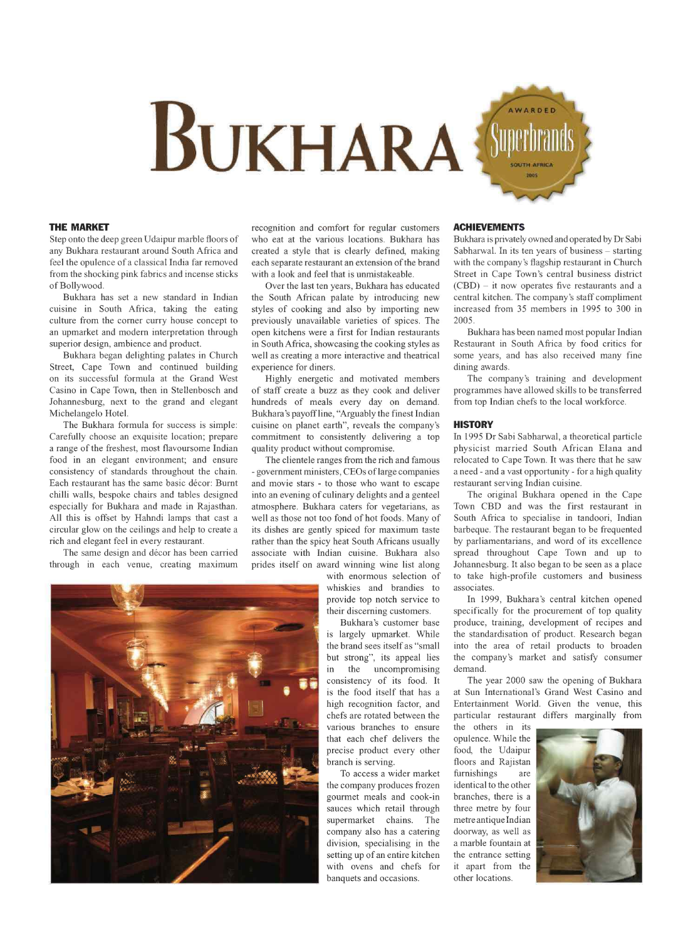

# **THE MARKET**

Step onto the deep green Udaipur marble floors of any Bukhara restaurant around South Africa and feel the opulence of a classical India far removed from the shocking pink fabrics and incense sticks of Bollywood.

Bukhara has set a new standard in Indian cuisine in South Africa, taking the eating culture from the corner curry house concept to an upmarket and modern interpretation through superior design, ambience and product.

Bukhara began delighting palates in Church Street, Cape Town and continued building on its successful formula at the Grand West Casino in Cape Town, then in Stellenbosch and Johannesburg, next to the grand and elegant Michelangelo Hotel.

The Bukhara formula for success is simple: Carefully choose an exquisite location; prepare a range of the freshest, most flavoursome Indian food in an elegant environment; and ensure consistency of standards throughout the chain. Each restaurant has the same basic decor: Burnt chilli walls, bespoke chairs and tables designed especially for Bukhara and made in Rajasthan. All this is offset by Hahndi lamps that cast a circular glow on the ceilings and help to create a rich and elegant feel in every restaurant.

The same design and décor has been carried through in each venue, creating maximum

recognition and comfort for regular customers who eat at the various locations. Bukhara has created a style that is clearly defined, making each separate restaurant an extension of the brand with a look and feel that is unmistakeable.

Over the last ten years, Bukhara has educated the South African palate by introducing new styles of cooking and also by importing new previously unavailable varieties of spices. The open kitchens were a first for Indian restaurants in South Africa, showcasing the cooking styles as well as creating a more interactive and theatrical experience for diners.

Highly energetic and motivated members of staff create a buzz as they cook and deliver hundreds of meals every day on demand. Bukhara's payoff line, "Arguably the finest Indian cuisine on planet earth", reveals the company's commitment to consistently delivering a top quality product without compromise.

The clientele ranges from the rich and famous - government ministers, CEOs oflarge companies and movie stars - to those who want to escape into an evening of culinary delights and a genteel atmosphere. Bukhara caters for vegetarians, as well as those not too fond of hot foods. Many of its dishes are gently spiced for maximum taste rather than the spicy heat South Africans usually associate with Indian cuisine. Bukhara also prides itself on award winning wine list along

> with enormous selection of whiskies and brandies to provide top notch service to their discerning customers.

> Bukhara's customer base is largely upmarket. While the brand sees itself as "small but strong", its appeal lies in the uncompromising consistency of its food. It is the food itself that has a high recognition factor, and chefs are rotated between the various branches to ensure that each chef delivers the precise product every other branch is serving.

> To access a wider market the company produces frozen gourmet meals and cook-in sauces which retail through supermarket chains. The company also has a catering division, specialising in the setting up of an entire kitchen with ovens and chefs for banquets and occasions.

### **ACHIEVEMENTS**

Bukhara is privately owned and operated by Dr Sabi Sabharwal. In its ten years of business - starting with the company's flagship restaurant in Church Street in Cape Town's central business district (CBD) - it now operates five restaurants and a central kitchen. The company's staff compliment increased from 35 members in 1995 to 300 in 2005.

Bukhara has been named most popular Indian Restaurant in South Africa by food critics for some years, and has also received many fine dining awards.

The company's training and development programmes have allowed skills to be transferred from top Indian chefs to the local workforce.

# **HISTORY**

In 1995 Dr Sabi Sabharwal, a theoretical particle physicist married South African Elana and relocated to Cape Town. It was there that he saw a need - and a vast opportunity - for a high quality restaurant serving Indian cuisine.

The original Bukhara opened in the Cape Town CBD and was the first restaurant in South Africa to specialise in tandoori, Indian barbeque. The restaurant began to be frequented by parliamentarians, and word of its excellence spread throughout Cape Town and up to Johannesburg. It also began to be seen as a place to take high-profile customers and business associates.

In 1999, Bukhara's central kitchen opened specifically for the procurement of top quality produce, training, development of recipes and the standardisation of product. Research began into the area of retail products to broaden the company's market and satisfy consumer demand.

The year 2000 saw the opening of Bukhara at Sun International's Grand West Casino and Entertainment World. Given the venue, this particular restaurant differs marginally from

the others in its opulence. While the food, the Udaipur floors and Rajistan furnishings are identical to the other branches, there is a three metre by four metre antique Indian doorway, as well as a marble fountain at the entrance setting it apart from the other locations.